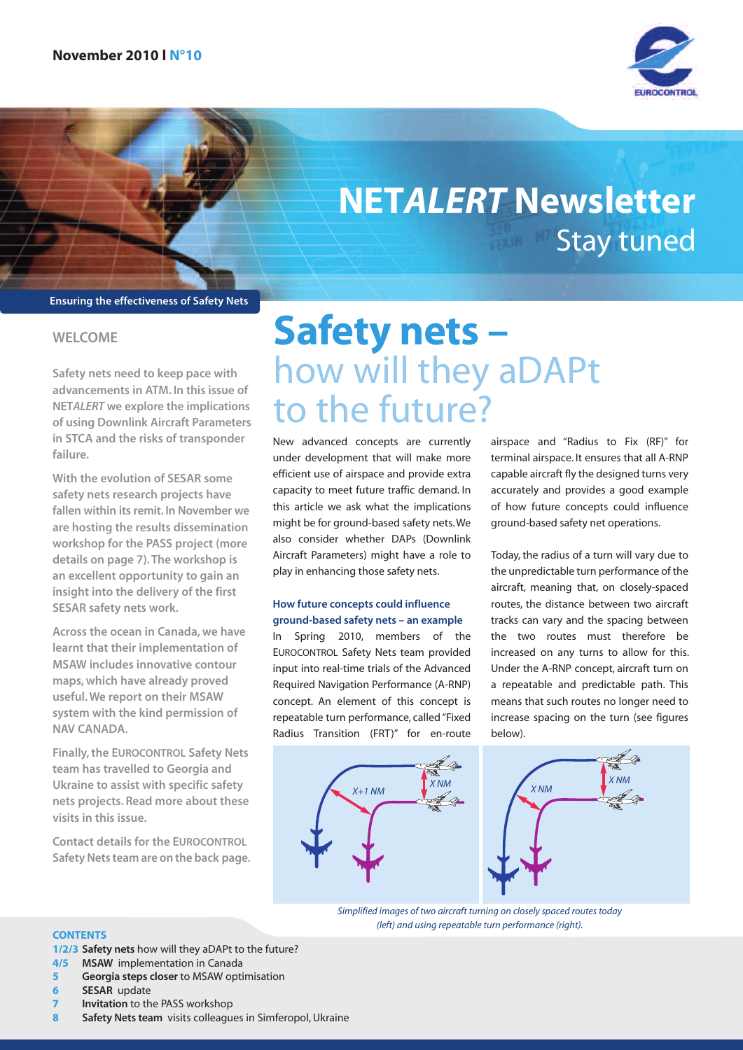

## Stay tuned **NETALERT Newsletter**

**Ensuring the effectiveness of Safety Nets**

#### **WELCOME**

**Safety nets need to keep pace with advancements in ATM. In this issue of NETALERT we explore the implications of using Downlink Aircraft Parameters in STCA and the risks of transponder failure.**

**With the evolution of SESAR some safety nets research projects have fallen within its remit. In November we are hosting the results dissemination workshop for the PASS project (more details on page 7).The workshop is an excellent opportunity to gain an insight into the delivery of the first SESAR safety nets work.**

**Across the ocean in Canada, we have learnt that their implementation of MSAW includes innovative contour maps, which have already proved useful.We report on their MSAW system with the kind permission of NAV CANADA.**

**Finally,the EUROCONTROL Safety Nets team has travelled to Georgia and Ukraine to assist with specific safety nets projects. Read more about these visits in this issue.**

**Contact details for the EUROCONTROL SafetyNets team are on the back page.**

# **Safety nets –** how will they aDAPt to the future?

New advanced concepts are currently under development that will make more efficient use of airspace and provide extra capacity to meet future traffic demand. In this article we ask what the implications might be for ground-based safety nets.We also consider whether DAPs (Downlink Aircraft Parameters) might have a role to play in enhancing those safety nets.

#### **How future concepts could influence ground-based safety nets – an example**

In Spring 2010, members of the EUROCONTROL Safety Nets team provided input into real-time trials of the Advanced Required Navigation Performance (A-RNP) concept. An element of this concept is repeatable turn performance, called"Fixed Radius Transition (FRT)" for en-route airspace and "Radius to Fix (RF)" for terminal airspace. It ensures that all A-RNP capable aircraft fly the designed turns very accurately and provides a good example of how future concepts could influence ground-based safety net operations.

Today, the radius of a turn will vary due to the unpredictable turn performance of the aircraft, meaning that, on closely-spaced routes, the distance between two aircraft tracks can vary and the spacing between the two routes must therefore be increased on any turns to allow for this. Under the A-RNP concept, aircraft turn on a repeatable and predictable path. This means that such routes no longer need to increase spacing on the turn (see figures below).





Simplified images of two aircraft turning on closely spaced routes today (left) and using repeatable turn performance (right).

#### **CONTENTS**

**1/2/3 Safety nets** how will they aDAPt to the future?

- **4/5 MSAW** implementation in Canada
- **5 Georgia steps closer** to MSAW optimisation
- **6 SESAR** update
- **7 Invitation** to the PASS workshop
- **8 Safety Nets team** visits colleagues in Simferopol, Ukraine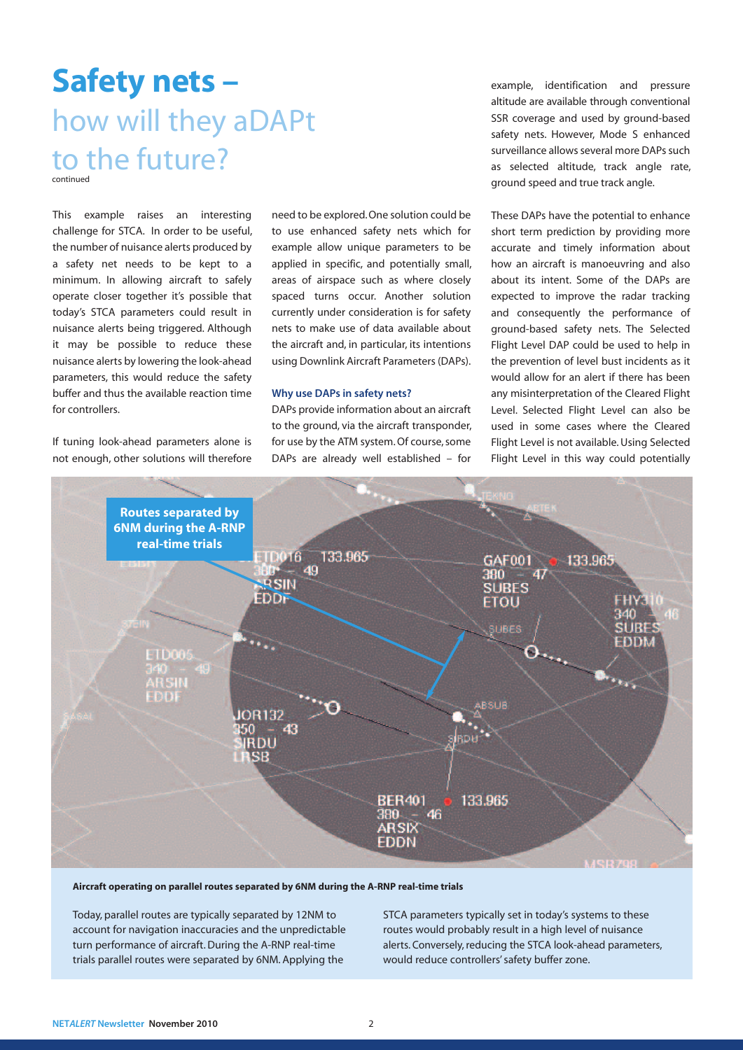### **Safety nets –** how will they aDAPt to the future?

This example raises an interesting challenge for STCA. In order to be useful, the number of nuisance alerts produced by a safety net needs to be kept to a minimum. In allowing aircraft to safely operate closer together it's possible that today's STCA parameters could result in nuisance alerts being triggered. Although it may be possible to reduce these nuisance alerts by lowering the look-ahead parameters, this would reduce the safety buffer and thus the available reaction time for controllers.

If tuning look-ahead parameters alone is not enough, other solutions will therefore need to be explored.One solution could be to use enhanced safety nets which for example allow unique parameters to be applied in specific, and potentially small, areas of airspace such as where closely spaced turns occur. Another solution currently under consideration is for safety nets to make use of data available about the aircraft and, in particular, its intentions using Downlink Aircraft Parameters(DAPs).

#### **Why use DAPs in safety nets?**

DAPs provide information about an aircraft to the ground, via the aircraft transponder, for use by the ATM system. Of course, some DAPs are already well established – for example, identification and pressure altitude are available through conventional SSR coverage and used by ground-based safety nets. However, Mode S enhanced surveillance allows several more DAPs such as selected altitude, track angle rate, ground speed and true track angle.

These DAPs have the potential to enhance short term prediction by providing more accurate and timely information about how an aircraft is manoeuvring and also about its intent. Some of the DAPs are expected to improve the radar tracking and consequently the performance of ground-based safety nets. The Selected Flight Level DAP could be used to help in the prevention of level bust incidents as it would allow for an alert if there has been any misinterpretation of the Cleared Flight Level. Selected Flight Level can also be used in some cases where the Cleared Flight Level is not available. Using Selected Flight Level in this way could potentially



#### **Aircraft operating on parallel routes separated by 6NM during the A-RNP real-time trials**

Today, parallel routes are typically separated by 12NM to account for navigation inaccuracies and the unpredictable turn performance of aircraft. During the A-RNP real-time trials parallel routes were separated by 6NM. Applying the

STCA parameters typically set in today's systems to these routes would probably result in a high level of nuisance alerts. Conversely, reducing the STCA look-ahead parameters, would reduce controllers'safety buffer zone.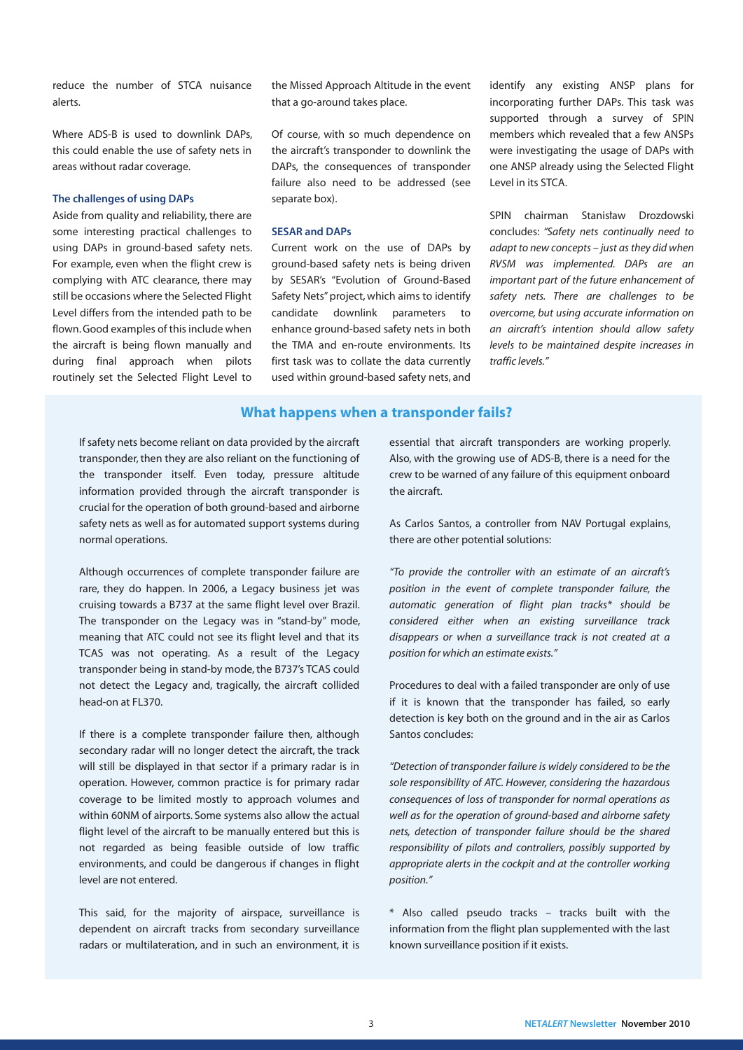reduce the number of STCA nuisance alerts.

Where ADS-B is used to downlink DAPs, this could enable the use of safety nets in areas without radar coverage.

#### **The challenges of using DAPs**

Aside from quality and reliability, there are some interesting practical challenges to using DAPs in ground-based safety nets. For example, even when the flight crew is complying with ATC clearance, there may still be occasions where the Selected Flight Level differs from the intended path to be flown. Good examples of this include when the aircraft is being flown manually and during final approach when pilots routinely set the Selected Flight Level to

the Missed Approach Altitude in the event that a go-around takes place.

Of course, with so much dependence on the aircraft's transponder to downlink the DAPs, the consequences of transponder failure also need to be addressed (see separate box).

#### **SESAR and DAPs**

Current work on the use of DAPs by ground-based safety nets is being driven by SESAR's "Evolution of Ground-Based Safety Nets" project, which aims to identify candidate downlink parameters to enhance ground-based safety nets in both the TMA and en-route environments. Its first task was to collate the data currently used within ground-based safety nets, and identify any existing ANSP plans for incorporating further DAPs. This task was supported through a survey of SPIN members which revealed that a few ANSPs were investigating the usage of DAPs with one ANSP already using the Selected Flight Level in its STCA.

SPIN chairman Stanisław Drozdowski concludes: "Safety nets continually need to  $adapt to new concepts - just as they did when$ RVSM was implemented. DAPs are an important part of the future enhancement of safety nets. There are challenges to be overcome, but using accurate information on an aircraft's intention should allow safety levels to be maintained despite increases in traffic levels."

#### **What happens when a transponder fails?**

If safety nets become reliant on data provided by the aircraft transponder, then they are also reliant on the functioning of the transponder itself. Even today, pressure altitude information provided through the aircraft transponder is crucial for the operation of both ground-based and airborne safety nets as well as for automated support systems during normal operations.

Although occurrences of complete transponder failure are rare, they do happen. In 2006, a Legacy business jet was cruising towards a B737 at the same flight level over Brazil. The transponder on the Legacy was in "stand-by" mode, meaning that ATC could not see its flight level and that its TCAS was not operating. As a result of the Legacy transponder being in stand-by mode, the B737's TCAS could not detect the Legacy and, tragically, the aircraft collided head-on at FL370.

If there is a complete transponder failure then, although secondary radar will no longer detect the aircraft, the track will still be displayed in that sector if a primary radar is in operation. However, common practice is for primary radar coverage to be limited mostly to approach volumes and within 60NM of airports. Some systems also allow the actual flight level of the aircraft to be manually entered but this is not regarded as being feasible outside of low traffic environments, and could be dangerous if changes in flight level are not entered.

This said, for the majority of airspace, surveillance is dependent on aircraft tracks from secondary surveillance radars or multilateration, and in such an environment, it is essential that aircraft transponders are working properly. Also, with the growing use of ADS-B, there is a need for the crew to be warned of any failure of this equipment onboard the aircraft.

As Carlos Santos, a controller from NAV Portugal explains, there are other potential solutions:

"To provide the controller with an estimate of an aircraft's position in the event of complete transponder failure, the automatic generation of flight plan tracks\* should be considered either when an existing surveillance track disappears or when a surveillance track is not created at a position for which an estimate exists."

Procedures to deal with a failed transponder are only of use if it is known that the transponder has failed, so early detection is key both on the ground and in the air as Carlos Santos concludes:

"Detection of transponder failure is widely considered to be the sole responsibility of ATC. However, considering the hazardous consequences of loss of transponder for normal operations as well as for the operation of ground-based and airborne safety nets, detection of transponder failure should be the shared responsibility of pilots and controllers, possibly supported by appropriate alerts in the cockpit and at the controller working position."

\* Also called pseudo tracks – tracks built with the information from the flight plan supplemented with the last known surveillance position if it exists.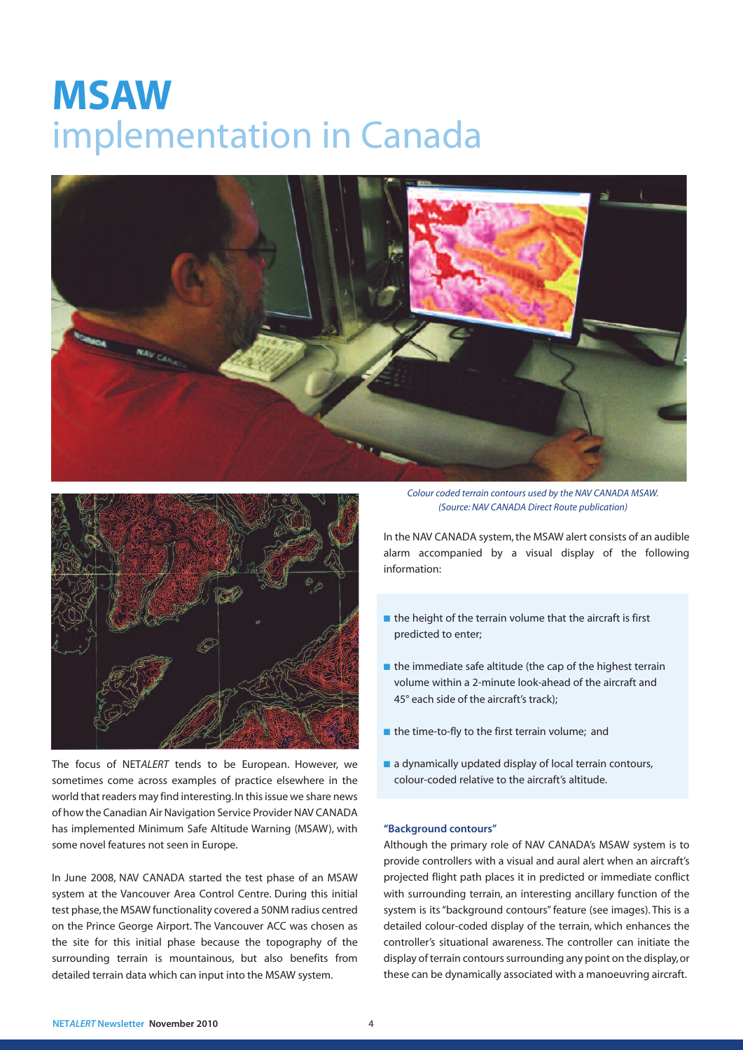### **MSAW** implementation in Canada





The focus of NETALERT tends to be European. However, we sometimes come across examples of practice elsewhere in the world that readers may find interesting. In this issue we share news of how the Canadian Air Navigation Service Provider NAV CANADA has implemented Minimum Safe Altitude Warning (MSAW), with some novel features not seen in Europe.

In June 2008, NAV CANADA started the test phase of an MSAW system at the Vancouver Area Control Centre. During this initial test phase,the MSAW functionality covered a 50NM radius centred on the Prince George Airport. The Vancouver ACC was chosen as the site for this initial phase because the topography of the surrounding terrain is mountainous, but also benefits from detailed terrain data which can input into the MSAW system.

Colour coded terrain contours used by the NAV CANADA MSAW. (Source: NAV CANADA Direct Route publication)

In the NAV CANADA system, the MSAW alert consists of an audible alarm accompanied by a visual display of the following information:

- the height of the terrain volume that the aircraft is first predicted to enter;
- the immediate safe altitude (the cap of the highest terrain volume within a 2-minute look-ahead of the aircraft and 45° each side of the aircraft's track);
- **■** the time-to-fly to the first terrain volume; and
- a dynamically updated display of local terrain contours, colour-coded relative to the aircraft's altitude.

#### **"Background contours"**

Although the primary role of NAV CANADA's MSAW system is to provide controllers with a visual and aural alert when an aircraft's projected flight path places it in predicted or immediate conflict with surrounding terrain, an interesting ancillary function of the system is its"background contours"feature (see images). This is a detailed colour-coded display of the terrain, which enhances the controller's situational awareness. The controller can initiate the display of terrain contours surrounding any point on the display, or these can be dynamically associated with a manoeuvring aircraft.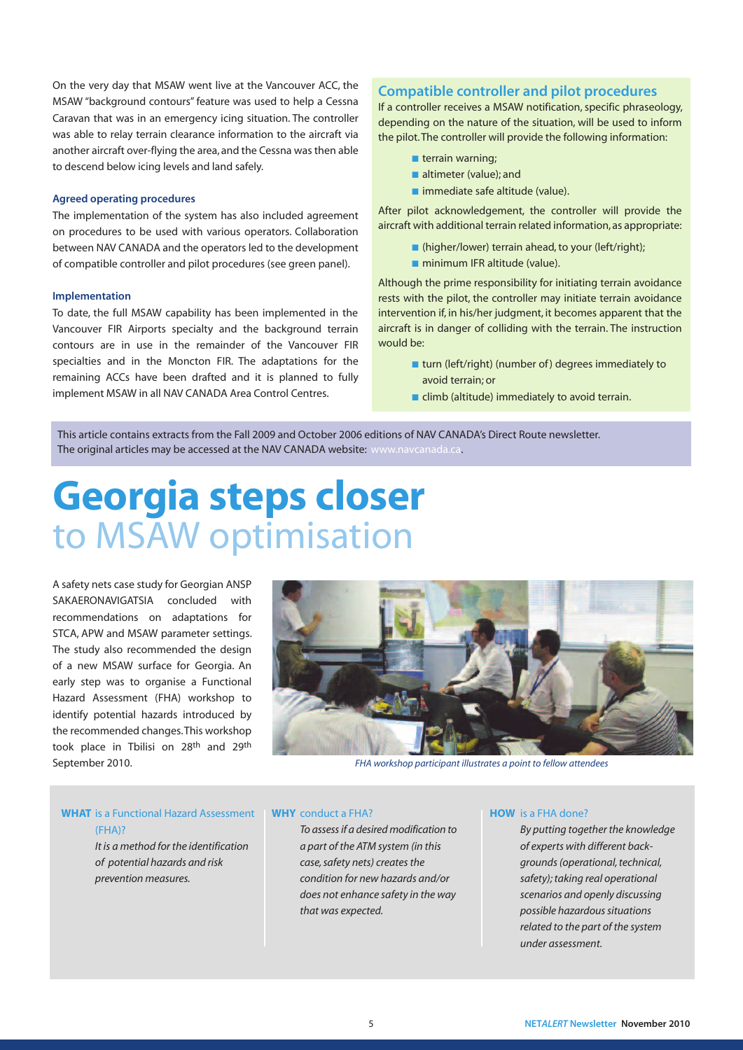On the very day that MSAW went live at the Vancouver ACC, the MSAW "background contours" feature was used to help a Cessna Caravan that was in an emergency icing situation. The controller was able to relay terrain clearance information to the aircraft via another aircraft over-flying the area, and the Cessna was then able to descend below icing levels and land safely.

#### **Agreed operating procedures**

The implementation of the system has also included agreement on procedures to be used with various operators. Collaboration between NAV CANADA and the operators led to the development of compatible controller and pilot procedures (see green panel).

#### **Implementation**

To date, the full MSAW capability has been implemented in the Vancouver FIR Airports specialty and the background terrain contours are in use in the remainder of the Vancouver FIR specialties and in the Moncton FIR. The adaptations for the remaining ACCs have been drafted and it is planned to fully implement MSAW in all NAV CANADA Area Control Centres.

#### **Compatible controller and pilot procedures**

If a controller receives a MSAW notification, specific phraseology, depending on the nature of the situation, will be used to inform the pilot.The controller will provide the following information:

- **■** terrain warning;
- altimeter (value); and
- immediate safe altitude (value).

After pilot acknowledgement, the controller will provide the aircraft with additional terrain related information,as appropriate:

- **■** (higher/lower) terrain ahead,to your (left/right);
- minimum IFR altitude (value).

Although the prime responsibility for initiating terrain avoidance rests with the pilot, the controller may initiate terrain avoidance intervention if, in his/her judgment, it becomes apparent that the aircraft is in danger of colliding with the terrain. The instruction would be:

- **■** turn (left/right) (number of) degrees immediately to avoid terrain; or
- $\blacksquare$  climb (altitude) immediately to avoid terrain.

This article contains extracts from the Fall 2009 and October 2006 editions of NAV CANADA's Direct Route newsletter. The original articles may be accessed at the NAV CANADA website: www.navcanada.ca.

### **Georgia steps closer** to MSAW optimisation

A safety nets case study for Georgian ANSP SAKAERONAVIGATSIA concluded with recommendations on adaptations for STCA, APW and MSAW parameter settings. The study also recommended the design of a new MSAW surface for Georgia. An early step was to organise a Functional Hazard Assessment (FHA) workshop to identify potential hazards introduced by the recommended changes.This workshop took place in Tbilisi on 28th and 29th September 2010. FHA workshop participant illustrates a point to fellow attendees



**WHAT** is a Functional Hazard Assessment (FHA)? It is a method for the identification of potential hazards and risk

prevention measures.

#### **WHY** conduct a FHA?

To assessif a desired modification to a part of the ATM system (in this case, safety nets) creates the condition for new hazards and/or does not enhance safety in the way that was expected.

#### **HOW** is a FHA done?

By putting together the knowledge of experts with different backgrounds (operational, technical, safety); taking real operational scenarios and openly discussing possible hazardous situations related to the part of the system under assessment.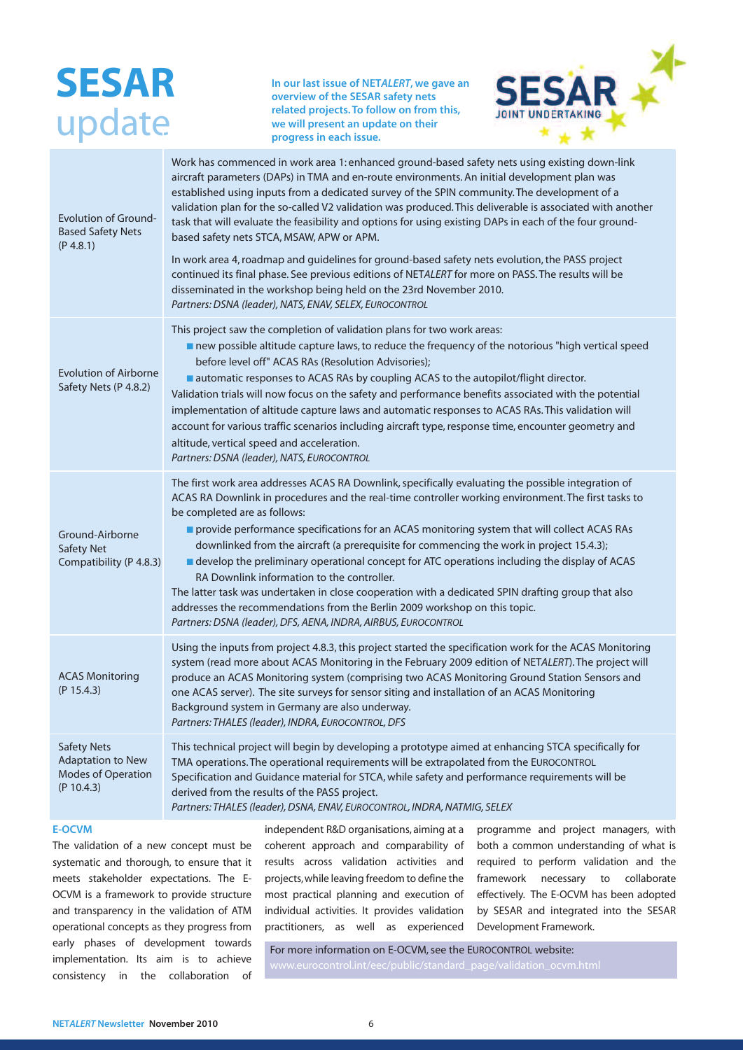### **SESAR** update

**In our last issue of NETALERT, we gave an overview of the SESAR safety nets related projects.To follow on from this, we will present an update on their progress in each issue.**



| <b>Evolution of Ground-</b><br><b>Based Safety Nets</b><br>(P 4.8.1)               | Work has commenced in work area 1: enhanced ground-based safety nets using existing down-link<br>aircraft parameters (DAPs) in TMA and en-route environments. An initial development plan was<br>established using inputs from a dedicated survey of the SPIN community. The development of a<br>validation plan for the so-called V2 validation was produced. This deliverable is associated with another<br>task that will evaluate the feasibility and options for using existing DAPs in each of the four ground-<br>based safety nets STCA, MSAW, APW or APM.<br>In work area 4, roadmap and guidelines for ground-based safety nets evolution, the PASS project<br>continued its final phase. See previous editions of NETALERT for more on PASS. The results will be<br>disseminated in the workshop being held on the 23rd November 2010.<br>Partners: DSNA (leader), NATS, ENAV, SELEX, EUROCONTROL |
|------------------------------------------------------------------------------------|--------------------------------------------------------------------------------------------------------------------------------------------------------------------------------------------------------------------------------------------------------------------------------------------------------------------------------------------------------------------------------------------------------------------------------------------------------------------------------------------------------------------------------------------------------------------------------------------------------------------------------------------------------------------------------------------------------------------------------------------------------------------------------------------------------------------------------------------------------------------------------------------------------------|
| <b>Evolution of Airborne</b><br>Safety Nets (P 4.8.2)                              | This project saw the completion of validation plans for two work areas:<br>new possible altitude capture laws, to reduce the frequency of the notorious "high vertical speed<br>before level off" ACAS RAs (Resolution Advisories);<br>automatic responses to ACAS RAs by coupling ACAS to the autopilot/flight director.<br>Validation trials will now focus on the safety and performance benefits associated with the potential<br>implementation of altitude capture laws and automatic responses to ACAS RAs. This validation will<br>account for various traffic scenarios including aircraft type, response time, encounter geometry and<br>altitude, vertical speed and acceleration.<br>Partners: DSNA (leader), NATS, EUROCONTROL                                                                                                                                                                  |
| Ground-Airborne<br>Safety Net<br>Compatibility (P 4.8.3)                           | The first work area addresses ACAS RA Downlink, specifically evaluating the possible integration of<br>ACAS RA Downlink in procedures and the real-time controller working environment. The first tasks to<br>be completed are as follows:<br>provide performance specifications for an ACAS monitoring system that will collect ACAS RAs<br>downlinked from the aircraft (a prerequisite for commencing the work in project 15.4.3);<br>■ develop the preliminary operational concept for ATC operations including the display of ACAS<br>RA Downlink information to the controller.<br>The latter task was undertaken in close cooperation with a dedicated SPIN drafting group that also<br>addresses the recommendations from the Berlin 2009 workshop on this topic.<br>Partners: DSNA (leader), DFS, AENA, INDRA, AIRBUS, EUROCONTROL                                                                  |
| <b>ACAS Monitoring</b><br>(P 15.4.3)                                               | Using the inputs from project 4.8.3, this project started the specification work for the ACAS Monitoring<br>system (read more about ACAS Monitoring in the February 2009 edition of NETALERT). The project will<br>produce an ACAS Monitoring system (comprising two ACAS Monitoring Ground Station Sensors and<br>one ACAS server). The site surveys for sensor siting and installation of an ACAS Monitoring<br>Background system in Germany are also underway.<br>Partners: THALES (leader), INDRA, EUROCONTROL, DFS                                                                                                                                                                                                                                                                                                                                                                                      |
| <b>Safety Nets</b><br><b>Adaptation to New</b><br>Modes of Operation<br>(P 10.4.3) | This technical project will begin by developing a prototype aimed at enhancing STCA specifically for<br>TMA operations. The operational requirements will be extrapolated from the EUROCONTROL<br>Specification and Guidance material for STCA, while safety and performance requirements will be<br>derived from the results of the PASS project.<br>Partners: THALES (leader), DSNA, ENAV, EUROCONTROL, INDRA, NATMIG, SELEX                                                                                                                                                                                                                                                                                                                                                                                                                                                                               |

#### **E-OCVM**

The validation of a new concept must be systematic and thorough, to ensure that it meets stakeholder expectations. The E-OCVM is a framework to provide structure and transparency in the validation of ATM operational concepts as they progress from early phases of development towards implementation. Its aim is to achieve consistency in the collaboration of

independent R&D organisations, aiming at a coherent approach and comparability of results across validation activities and projects,while leaving freedom to define the most practical planning and execution of individual activities. It provides validation practitioners, as well as experienced programme and project managers, with both a common understanding of what is required to perform validation and the framework necessary to collaborate effectively. The E-OCVM has been adopted by SESAR and integrated into the SESAR Development Framework.

For more information on E-OCVM, see the EUROCONTROL website: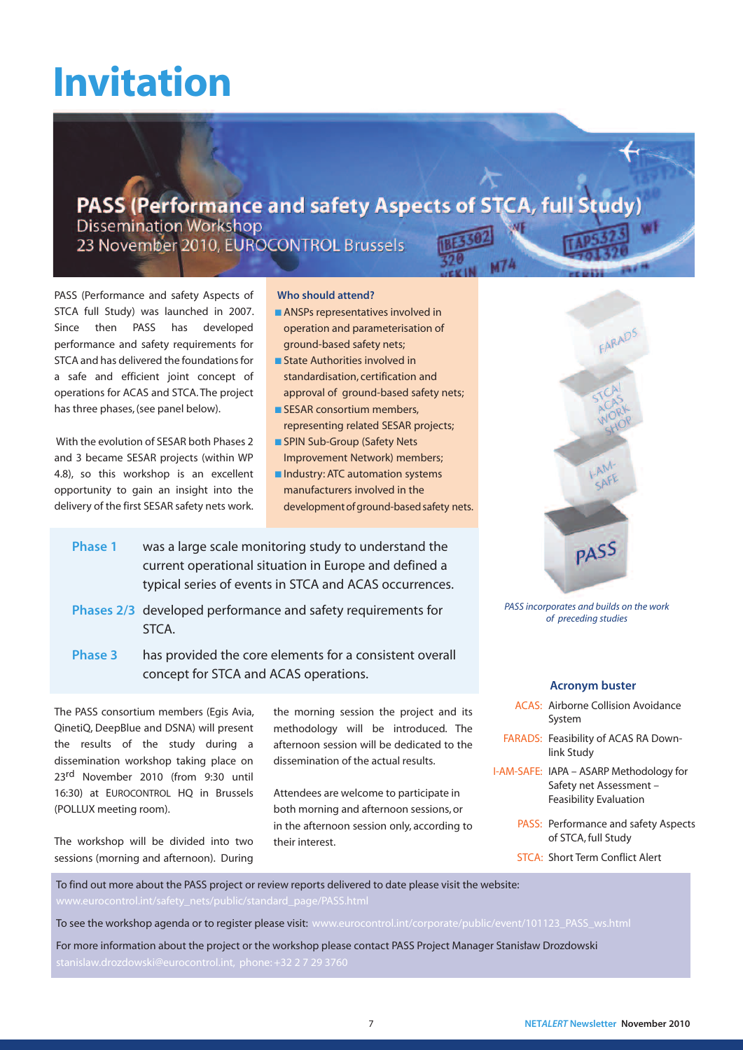# **Invitation**

### PASS (Performance and safety Aspects of STCA, full Study

**Dissemination Workshop** 23 November 2010, EUROCONTROL Brussels

PASS (Performance and safety Aspects of STCA full Study) was launched in 2007. Since then PASS has developed performance and safety requirements for STCA and has delivered the foundations for a safe and efficient joint concept of operations for ACAS and STCA.The project has three phases,(see panel below).

With the evolution of SESAR both Phases 2 and 3 became SESAR projects (within WP 4.8), so this workshop is an excellent opportunity to gain an insight into the delivery of the first SESAR safety nets work.

#### **Who should attend?**

- ANSPs representatives involved in operation and parameterisation of ground-based safety nets;
- State Authorities involved in standardisation, certification and approval of ground-based safety nets;
- **■** SESAR consortium members, representing related SESAR projects;
- SPIN Sub-Group (Safety Nets Improvement Network) members;
- **■** Industry: ATC automation systems manufacturers involved in the development of ground-based safety nets.
- **Phase 1** was a large scale monitoring study to understand the current operational situation in Europe and defined a typical series of events in STCA and ACAS occurrences.
- **Phases 2/3** developed performance and safety requirements for STCA.
- **Phase 3** has provided the core elements for a consistent overall concept for STCA and ACAS operations.

The PASS consortium members (Egis Avia, QinetiQ, DeepBlue and DSNA) will present the results of the study during a dissemination workshop taking place on 23rd November 2010 (from 9:30 until 16:30) at EUROCONTROL HO in Brussels (POLLUX meeting room).

The workshop will be divided into two sessions (morning and afternoon). During

the morning session the project and its methodology will be introduced. The afternoon session will be dedicated to the dissemination of the actual results.

Attendees are welcome to participate in both morning and afternoon sessions, or in the afternoon session only, according to their interest.



PASS incorporates and builds on the work of preceding studies

#### **Acronym buster**

- ACAS: Airborne Collision Avoidance System
- FARADS: Feasibility of ACAS RA Downlink Study
- I-AM-SAFE: IAPA ASARP Methodology for Safety net Assessment – Feasibility Evaluation
	- PASS: Performance and safety Aspects of STCA, full Study
	- STCA: Short Term Conflict Alert

To find out more about the PASS project or review reports delivered to date please visit the website:

To see the workshop agenda or to register please visit: www.eurocontrol.int/corporate/public/event/101123\_PASS\_ws.html

For more information about the project or the workshop please contact PASS Project Manager Stanislaw Drozdowski -